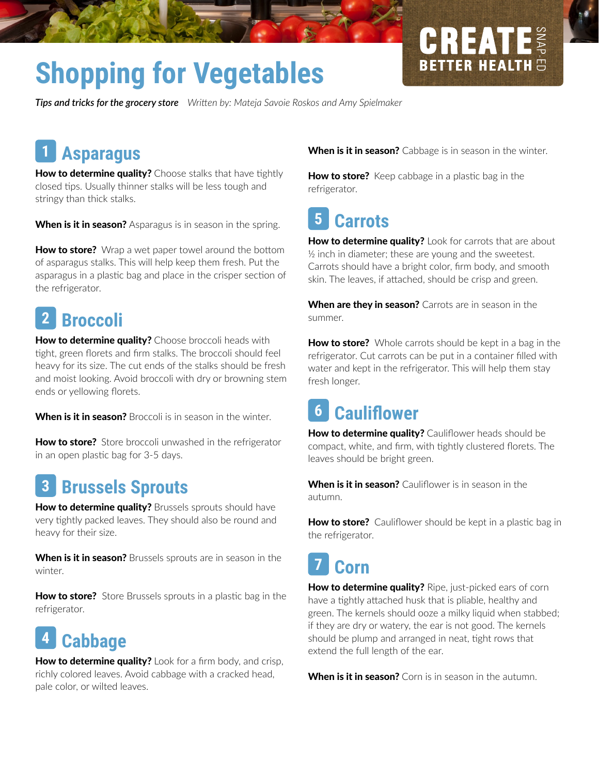# **Shopping for Vegetables**

*Tips and tricks for the grocery store Writen by: Mateja Savoie Roskos and Amy Spielmaker*

# **Asparagus 1**

How to determine quality? Choose stalks that have tightly closed tips. Usually thinner stalks will be less tough and stringy than thick stalks.

When is it in season? Asparagus is in season in the spring.

**How to store?** Wrap a wet paper towel around the bottom of asparagus stalks. This will help keep them fresh. Put the asparagus in a plastic bag and place in the crisper section of the refrigerator.

#### **Broccoli 2**

How to determine quality? Choose broccoli heads with tght, green forets and frm stalks. The broccoli should feel heavy for its size. The cut ends of the stalks should be fresh and moist looking. Avoid broccoli with dry or browning stem ends or yellowing forets.

When is it in season? Broccoli is in season in the winter.

How to store? Store broccoli unwashed in the refrigerator in an open plastic bag for 3-5 days.

#### **Brussels Sprouts 3**

How to determine quality? Brussels sprouts should have very tightly packed leaves. They should also be round and heavy for their size.

When is it in season? Brussels sprouts are in season in the winter.

How to store? Store Brussels sprouts in a plastic bag in the refrigerator.

# **Cabbage 4**

How to determine quality? Look for a firm body, and crisp, richly colored leaves. Avoid cabbage with a cracked head, pale color, or wilted leaves.

When is it in season? Cabbage is in season in the winter.

GREAT

**BETTER HEALT** 

How to store? Keep cabbage in a plastic bag in the refrigerator.

### **Carrots 5**

How to determine quality? Look for carrots that are about ½ inch in diameter; these are young and the sweetest. Carrots should have a bright color, frm body, and smooth skin. The leaves, if atached, should be crisp and green.

When are they in season? Carrots are in season in the summer.

**How to store?** Whole carrots should be kept in a bag in the refrigerator. Cut carrots can be put in a container flled with water and kept in the refrigerator. This will help them stay fresh longer.

#### **Caulifower 6**

How to determine quality? Cauliflower heads should be compact, white, and frm, with tghtly clustered forets. The leaves should be bright green.

When is it in season? Cauliflower is in season in the autumn.

How to store? Cauliflower should be kept in a plastic bag in the refrigerator.

# **Corn 7**

How to determine quality? Ripe, just-picked ears of corn have a tightly attached husk that is pliable, healthy and green. The kernels should ooze a milky liquid when stabbed; if they are dry or watery, the ear is not good. The kernels should be plump and arranged in neat, tight rows that extend the full length of the ear.

When is it in season? Corn is in season in the autumn.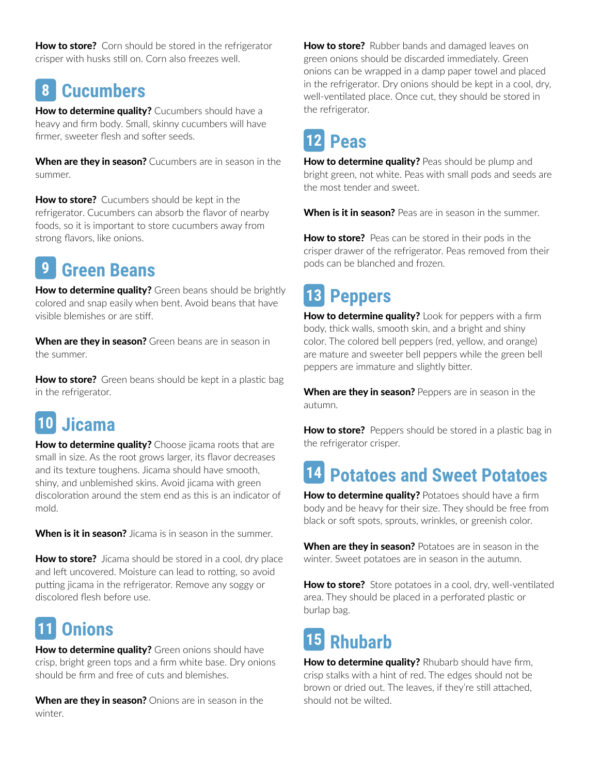How to store? Corn should be stored in the refrigerator crisper with husks still on. Corn also freezes well.

#### **Cucumbers 8**

How to determine quality? Cucumbers should have a heavy and frm body. Small, skinny cucumbers will have firmer, sweeter flesh and softer seeds.

When are they in season? Cucumbers are in season in the summer.

How to store? Cucumbers should be kept in the refrigerator. Cucumbers can absorb the favor of nearby foods, so it is important to store cucumbers away from strong favors, like onions.

# **Green Beans 9**

How to determine quality? Green beans should be brightly colored and snap easily when bent. Avoid beans that have visible blemishes or are stiff.

When are they in season? Green beans are in season in the summer.

How to store? Green beans should be kept in a plastic bag in the refrigerator.

# **Jicama 10**

How to determine quality? Choose jicama roots that are small in size. As the root grows larger, its flavor decreases and its texture toughens. Jicama should have smooth, shiny, and unblemished skins. Avoid jicama with green discoloration around the stem end as this is an indicator of mold.

When is it in season? Jicama is in season in the summer.

How to store? Jicama should be stored in a cool, dry place and left uncovered. Moisture can lead to rotting, so avoid putting jicama in the refrigerator. Remove any soggy or discolored fesh before use.

# **Onions 11**

How to determine quality? Green onions should have crisp, bright green tops and a frm white base. Dry onions should be frm and free of cuts and blemishes.

When are they in season? Onions are in season in the winter.

**How to store?** Rubber bands and damaged leaves on green onions should be discarded immediately. Green onions can be wrapped in a damp paper towel and placed in the refrigerator. Dry onions should be kept in a cool, dry, well-ventilated place. Once cut, they should be stored in the refrigerator.

# **Peas 12**

How to determine quality? Peas should be plump and bright green, not white. Peas with small pods and seeds are the most tender and sweet.

When is it in season? Peas are in season in the summer.

How to store? Peas can be stored in their pods in the crisper drawer of the refrigerator. Peas removed from their pods can be blanched and frozen.

# **Peppers 13**

How to determine quality? Look for peppers with a firm body, thick walls, smooth skin, and a bright and shiny color. The colored bell peppers (red, yellow, and orange) are mature and sweeter bell peppers while the green bell peppers are immature and slightly biter.

When are they in season? Peppers are in season in the autumn.

How to store? Peppers should be stored in a plastic bag in the refrigerator crisper.

# **Potatoes and Sweet Potatoes 14**

How to determine quality? Potatoes should have a firm body and be heavy for their size. They should be free from black or soft spots, sprouts, wrinkles, or greenish color.

When are they in season? Potatoes are in season in the winter. Sweet potatoes are in season in the autumn.

How to store? Store potatoes in a cool, dry, well-ventilated area. They should be placed in a perforated plastic or burlap bag.

# **Rhubarb 15**

How to determine quality? Rhubarb should have firm, crisp stalks with a hint of red. The edges should not be brown or dried out. The leaves, if they're still attached, should not be wilted.